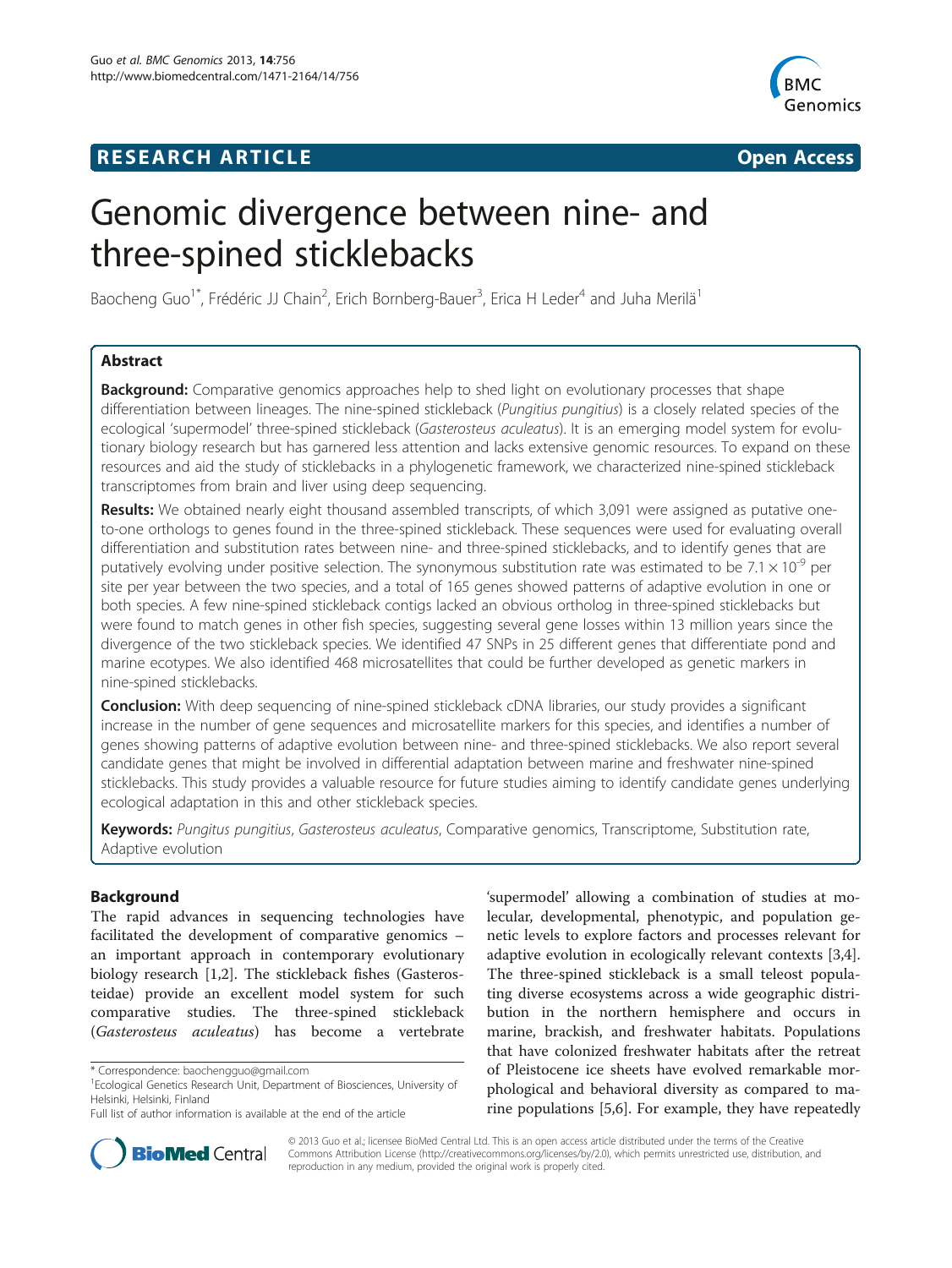# **RESEARCH ARTICLE Example 2014 The SEAR CH ACCESS**



# Genomic divergence between nine- and three-spined sticklebacks

Baocheng Guo<sup>1\*</sup>, Frédéric JJ Chain<sup>2</sup>, Erich Bornberg-Bauer<sup>3</sup>, Erica H Leder<sup>4</sup> and Juha Merilä<sup>1</sup>

# Abstract

**Background:** Comparative genomics approaches help to shed light on evolutionary processes that shape differentiation between lineages. The nine-spined stickleback (Pungitius pungitius) is a closely related species of the ecological 'supermodel' three-spined stickleback (Gasterosteus aculeatus). It is an emerging model system for evolutionary biology research but has garnered less attention and lacks extensive genomic resources. To expand on these resources and aid the study of sticklebacks in a phylogenetic framework, we characterized nine-spined stickleback transcriptomes from brain and liver using deep sequencing.

Results: We obtained nearly eight thousand assembled transcripts, of which 3,091 were assigned as putative oneto-one orthologs to genes found in the three-spined stickleback. These sequences were used for evaluating overall differentiation and substitution rates between nine- and three-spined sticklebacks, and to identify genes that are putatively evolving under positive selection. The synonymous substitution rate was estimated to be 7.1  $\times$  10<sup>-9</sup> per site per year between the two species, and a total of 165 genes showed patterns of adaptive evolution in one or both species. A few nine-spined stickleback contigs lacked an obvious ortholog in three-spined sticklebacks but were found to match genes in other fish species, suggesting several gene losses within 13 million years since the divergence of the two stickleback species. We identified 47 SNPs in 25 different genes that differentiate pond and marine ecotypes. We also identified 468 microsatellites that could be further developed as genetic markers in nine-spined sticklebacks.

**Conclusion:** With deep sequencing of nine-spined stickleback cDNA libraries, our study provides a significant increase in the number of gene sequences and microsatellite markers for this species, and identifies a number of genes showing patterns of adaptive evolution between nine- and three-spined sticklebacks. We also report several candidate genes that might be involved in differential adaptation between marine and freshwater nine-spined sticklebacks. This study provides a valuable resource for future studies aiming to identify candidate genes underlying ecological adaptation in this and other stickleback species.

Keywords: Pungitus pungitius, Gasterosteus aculeatus, Comparative genomics, Transcriptome, Substitution rate, Adaptive evolution

# Background

The rapid advances in sequencing technologies have facilitated the development of comparative genomics – an important approach in contemporary evolutionary biology research [\[1,2](#page-8-0)]. The stickleback fishes (Gasterosteidae) provide an excellent model system for such comparative studies. The three-spined stickleback (Gasterosteus aculeatus) has become a vertebrate

'supermodel' allowing a combination of studies at molecular, developmental, phenotypic, and population genetic levels to explore factors and processes relevant for adaptive evolution in ecologically relevant contexts [\[3,4](#page-8-0)]. The three-spined stickleback is a small teleost populating diverse ecosystems across a wide geographic distribution in the northern hemisphere and occurs in marine, brackish, and freshwater habitats. Populations that have colonized freshwater habitats after the retreat of Pleistocene ice sheets have evolved remarkable morphological and behavioral diversity as compared to marine populations [\[5,6](#page-8-0)]. For example, they have repeatedly



© 2013 Guo et al.; licensee BioMed Central Ltd. This is an open access article distributed under the terms of the Creative Commons Attribution License [\(http://creativecommons.org/licenses/by/2.0\)](http://creativecommons.org/licenses/by/2.0), which permits unrestricted use, distribution, and reproduction in any medium, provided the original work is properly cited.

<sup>\*</sup> Correspondence: [baochengguo@gmail.com](mailto:baochengguo@gmail.com) <sup>1</sup>

<sup>&</sup>lt;sup>1</sup> Ecological Genetics Research Unit, Department of Biosciences, University of Helsinki, Helsinki, Finland

Full list of author information is available at the end of the article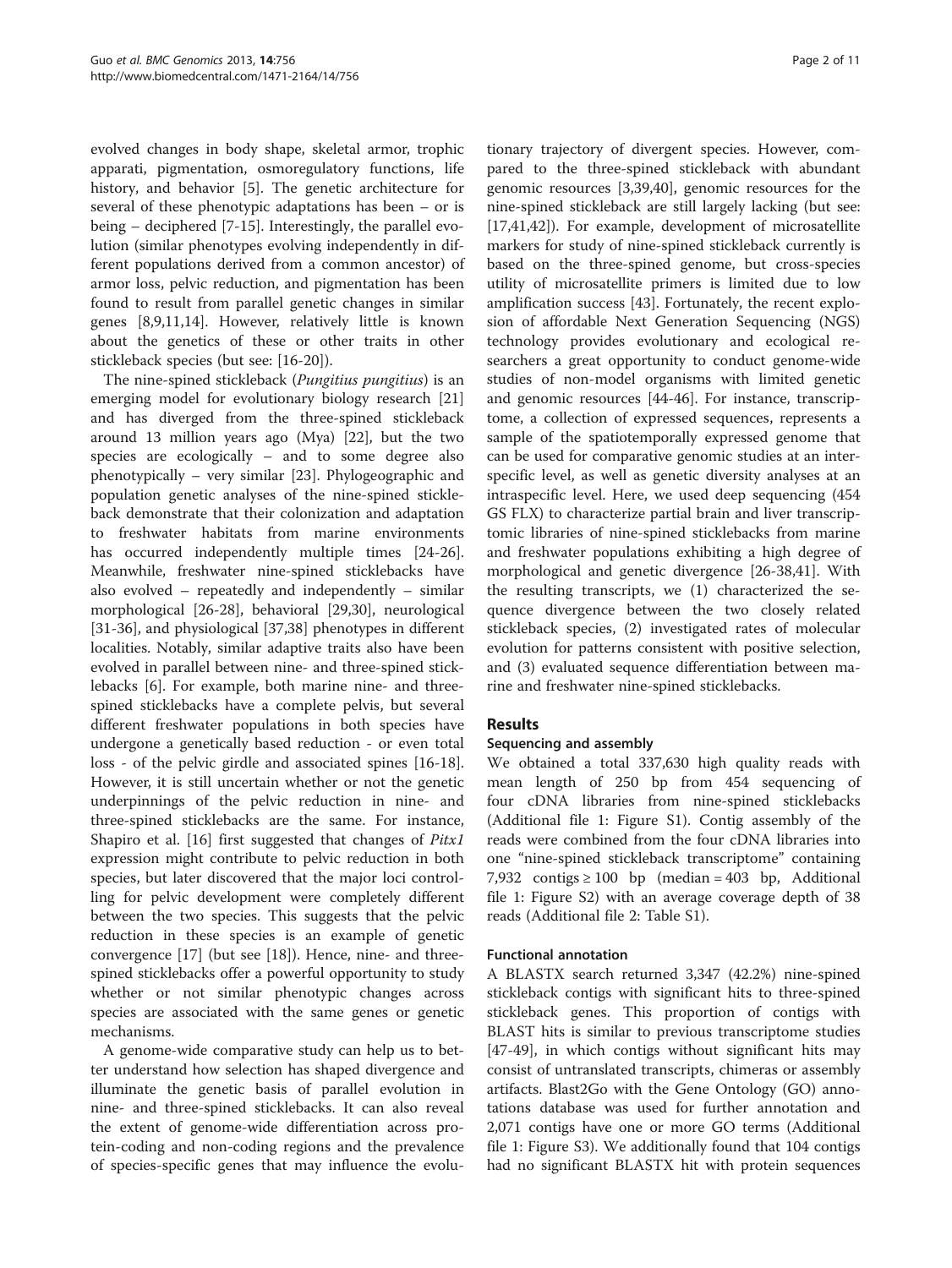evolved changes in body shape, skeletal armor, trophic apparati, pigmentation, osmoregulatory functions, life history, and behavior [[5\]](#page-8-0). The genetic architecture for several of these phenotypic adaptations has been – or is being – deciphered [[7-](#page-8-0)[15\]](#page-9-0). Interestingly, the parallel evolution (similar phenotypes evolving independently in different populations derived from a common ancestor) of armor loss, pelvic reduction, and pigmentation has been found to result from parallel genetic changes in similar genes [\[8,9,11](#page-8-0)[,14](#page-9-0)]. However, relatively little is known about the genetics of these or other traits in other stickleback species (but see: [[16-20\]](#page-9-0)).

The nine-spined stickleback (*Pungitius pungitius*) is an emerging model for evolutionary biology research [[21](#page-9-0)] and has diverged from the three-spined stickleback around 13 million years ago (Mya) [\[22\]](#page-9-0), but the two species are ecologically – and to some degree also phenotypically – very similar [\[23](#page-9-0)]. Phylogeographic and population genetic analyses of the nine-spined stickleback demonstrate that their colonization and adaptation to freshwater habitats from marine environments has occurred independently multiple times [\[24-26](#page-9-0)]. Meanwhile, freshwater nine-spined sticklebacks have also evolved – repeatedly and independently – similar morphological [[26-28](#page-9-0)], behavioral [\[29,30\]](#page-9-0), neurological [[31-36](#page-9-0)], and physiological [[37,38\]](#page-9-0) phenotypes in different localities. Notably, similar adaptive traits also have been evolved in parallel between nine- and three-spined sticklebacks [[6](#page-8-0)]. For example, both marine nine- and threespined sticklebacks have a complete pelvis, but several different freshwater populations in both species have undergone a genetically based reduction - or even total loss - of the pelvic girdle and associated spines [\[16-18](#page-9-0)]. However, it is still uncertain whether or not the genetic underpinnings of the pelvic reduction in nine- and three-spined sticklebacks are the same. For instance, Shapiro et al. [[16\]](#page-9-0) first suggested that changes of Pitx1 expression might contribute to pelvic reduction in both species, but later discovered that the major loci controlling for pelvic development were completely different between the two species. This suggests that the pelvic reduction in these species is an example of genetic convergence [[17\]](#page-9-0) (but see [[18](#page-9-0)]). Hence, nine- and threespined sticklebacks offer a powerful opportunity to study whether or not similar phenotypic changes across species are associated with the same genes or genetic mechanisms.

A genome-wide comparative study can help us to better understand how selection has shaped divergence and illuminate the genetic basis of parallel evolution in nine- and three-spined sticklebacks. It can also reveal the extent of genome-wide differentiation across protein-coding and non-coding regions and the prevalence of species-specific genes that may influence the evolutionary trajectory of divergent species. However, compared to the three-spined stickleback with abundant genomic resources [[3,](#page-8-0)[39,40\]](#page-9-0), genomic resources for the nine-spined stickleback are still largely lacking (but see: [[17,41,42\]](#page-9-0)). For example, development of microsatellite markers for study of nine-spined stickleback currently is based on the three-spined genome, but cross-species utility of microsatellite primers is limited due to low amplification success [[43](#page-9-0)]. Fortunately, the recent explosion of affordable Next Generation Sequencing (NGS) technology provides evolutionary and ecological researchers a great opportunity to conduct genome-wide studies of non-model organisms with limited genetic and genomic resources [\[44](#page-9-0)-[46\]](#page-9-0). For instance, transcriptome, a collection of expressed sequences, represents a sample of the spatiotemporally expressed genome that can be used for comparative genomic studies at an interspecific level, as well as genetic diversity analyses at an intraspecific level. Here, we used deep sequencing (454 GS FLX) to characterize partial brain and liver transcriptomic libraries of nine-spined sticklebacks from marine and freshwater populations exhibiting a high degree of morphological and genetic divergence [[26](#page-9-0)-[38,41\]](#page-9-0). With the resulting transcripts, we (1) characterized the sequence divergence between the two closely related stickleback species, (2) investigated rates of molecular evolution for patterns consistent with positive selection, and (3) evaluated sequence differentiation between marine and freshwater nine-spined sticklebacks.

# Results

#### Sequencing and assembly

We obtained a total 337,630 high quality reads with mean length of 250 bp from 454 sequencing of four cDNA libraries from nine-spined sticklebacks (Additional file [1:](#page-8-0) Figure S1). Contig assembly of the reads were combined from the four cDNA libraries into one "nine-spined stickleback transcriptome" containing 7,932 contigs  $\geq 100$  bp (median = 403 bp, Additional file [1](#page-8-0): Figure S2) with an average coverage depth of 38 reads (Additional file [2:](#page-8-0) Table S1).

#### Functional annotation

A BLASTX search returned 3,347 (42.2%) nine-spined stickleback contigs with significant hits to three-spined stickleback genes. This proportion of contigs with BLAST hits is similar to previous transcriptome studies [[47-49](#page-9-0)], in which contigs without significant hits may consist of untranslated transcripts, chimeras or assembly artifacts. Blast2Go with the Gene Ontology (GO) annotations database was used for further annotation and 2,071 contigs have one or more GO terms (Additional file [1](#page-8-0): Figure S3). We additionally found that 104 contigs had no significant BLASTX hit with protein sequences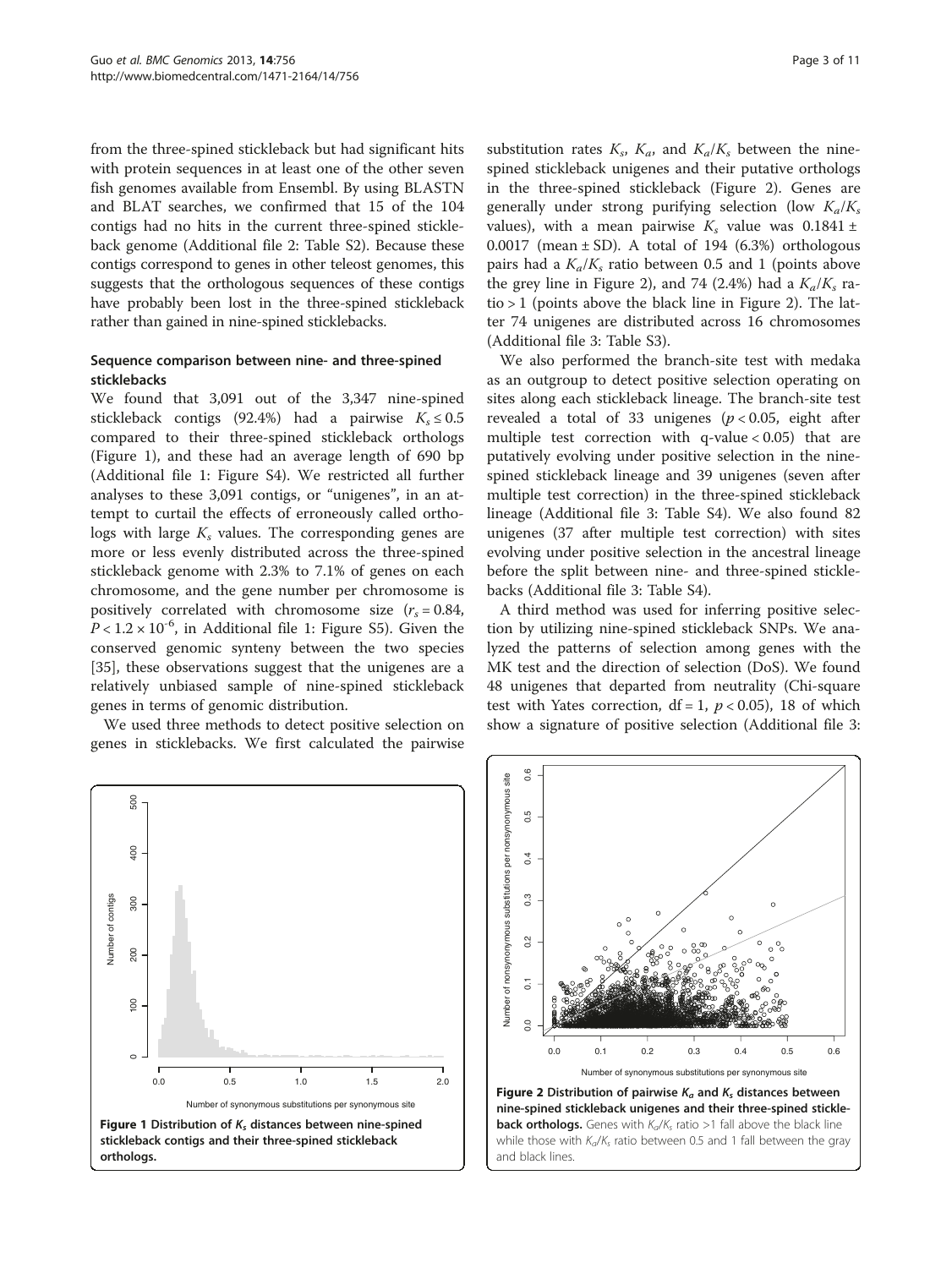from the three-spined stickleback but had significant hits with protein sequences in at least one of the other seven fish genomes available from Ensembl. By using BLASTN and BLAT searches, we confirmed that 15 of the 104 contigs had no hits in the current three-spined stickleback genome (Additional file [2](#page-8-0): Table S2). Because these contigs correspond to genes in other teleost genomes, this suggests that the orthologous sequences of these contigs have probably been lost in the three-spined stickleback rather than gained in nine-spined sticklebacks.

#### Sequence comparison between nine- and three-spined sticklebacks

We found that 3,091 out of the 3,347 nine-spined stickleback contigs (92.4%) had a pairwise  $K_s \le 0.5$ compared to their three-spined stickleback orthologs (Figure 1), and these had an average length of 690 bp (Additional file [1](#page-8-0): Figure S4). We restricted all further analyses to these 3,091 contigs, or "unigenes", in an attempt to curtail the effects of erroneously called orthologs with large  $K_s$  values. The corresponding genes are more or less evenly distributed across the three-spined stickleback genome with 2.3% to 7.1% of genes on each chromosome, and the gene number per chromosome is positively correlated with chromosome size  $(r_s = 0.84,$  $P < 1.2 \times 10^{-6}$  $P < 1.2 \times 10^{-6}$  $P < 1.2 \times 10^{-6}$ , in Additional file 1: Figure S5). Given the conserved genomic synteny between the two species [[35\]](#page-9-0), these observations suggest that the unigenes are a relatively unbiased sample of nine-spined stickleback genes in terms of genomic distribution.

We used three methods to detect positive selection on genes in sticklebacks. We first calculated the pairwise

substitution rates  $K_s$ ,  $K_a$ , and  $K_a/K_s$  between the ninespined stickleback unigenes and their putative orthologs in the three-spined stickleback (Figure 2). Genes are generally under strong purifying selection (low  $K_a/K_s$ values), with a mean pairwise  $K_s$  value was 0.1841 ± 0.0017 (mean  $\pm$  SD). A total of 194 (6.3%) orthologous pairs had a  $K_a/K_s$  ratio between 0.5 and 1 (points above the grey line in Figure 2), and 74 (2.4%) had a  $K_a/K_s$  ratio > 1 (points above the black line in Figure 2). The latter 74 unigenes are distributed across 16 chromosomes (Additional file [3](#page-8-0): Table S3).

We also performed the branch-site test with medaka as an outgroup to detect positive selection operating on sites along each stickleback lineage. The branch-site test revealed a total of 33 unigenes ( $p < 0.05$ , eight after multiple test correction with  $q$ -value < 0.05) that are putatively evolving under positive selection in the ninespined stickleback lineage and 39 unigenes (seven after multiple test correction) in the three-spined stickleback lineage (Additional file [3:](#page-8-0) Table S4). We also found 82 unigenes (37 after multiple test correction) with sites evolving under positive selection in the ancestral lineage before the split between nine- and three-spined sticklebacks (Additional file [3:](#page-8-0) Table S4).

A third method was used for inferring positive selection by utilizing nine-spined stickleback SNPs. We analyzed the patterns of selection among genes with the MK test and the direction of selection (DoS). We found 48 unigenes that departed from neutrality (Chi-square test with Yates correction,  $df = 1$ ,  $p < 0.05$ ), 18 of which show a signature of positive selection (Additional file [3](#page-8-0):





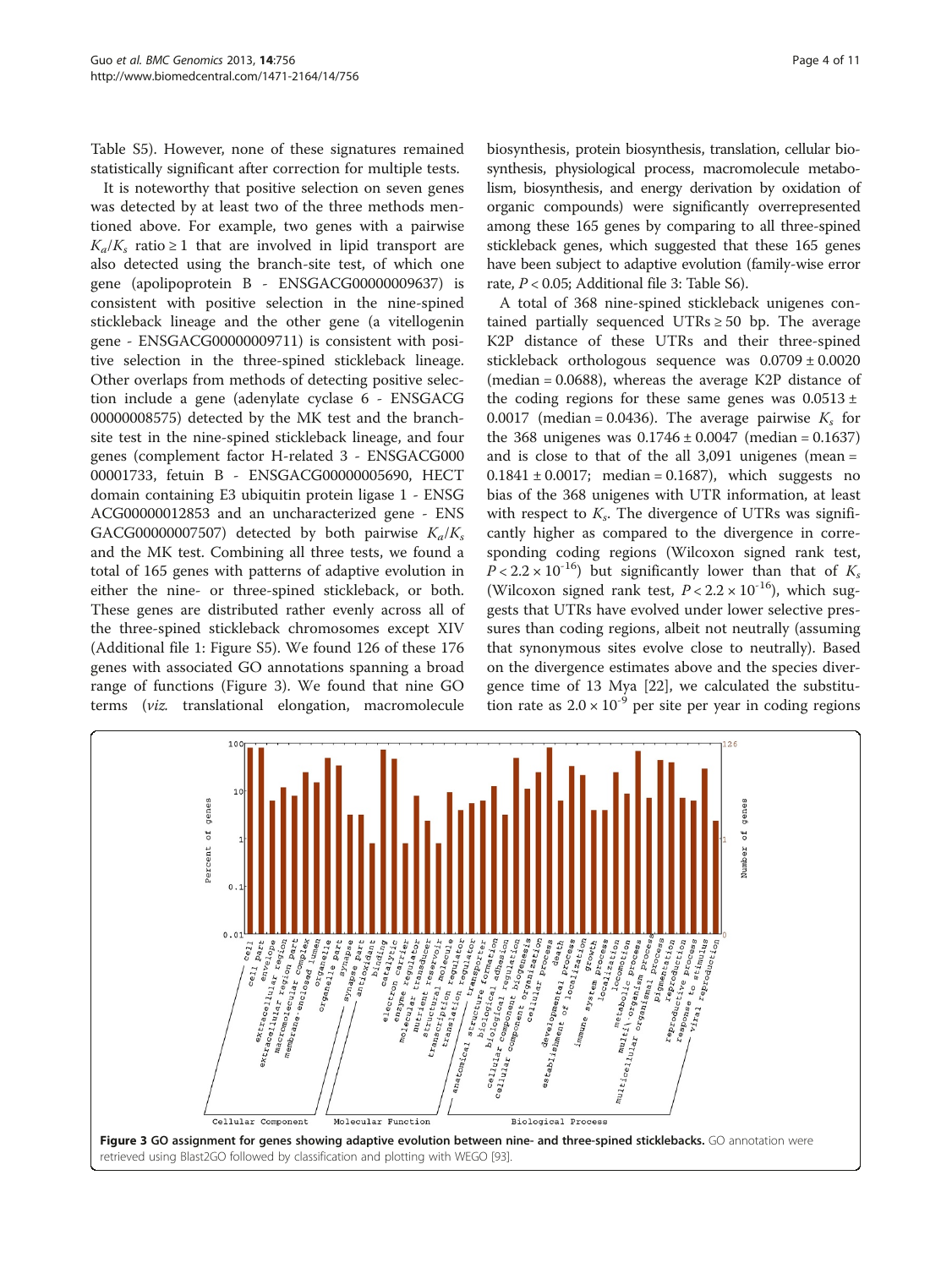Table S5). However, none of these signatures remained statistically significant after correction for multiple tests.

It is noteworthy that positive selection on seven genes was detected by at least two of the three methods mentioned above. For example, two genes with a pairwise  $K_a/K_s$  ratio ≥ 1 that are involved in lipid transport are also detected using the branch-site test, of which one gene (apolipoprotein B - ENSGACG00000009637) is consistent with positive selection in the nine-spined stickleback lineage and the other gene (a vitellogenin gene - ENSGACG00000009711) is consistent with positive selection in the three-spined stickleback lineage. Other overlaps from methods of detecting positive selection include a gene (adenylate cyclase 6 - ENSGACG 00000008575) detected by the MK test and the branchsite test in the nine-spined stickleback lineage, and four genes (complement factor H-related 3 - ENSGACG000 00001733, fetuin B - ENSGACG00000005690, HECT domain containing E3 ubiquitin protein ligase 1 - ENSG ACG00000012853 and an uncharacterized gene - ENS GACG00000007507) detected by both pairwise  $K_a/K_s$ and the MK test. Combining all three tests, we found a total of 165 genes with patterns of adaptive evolution in either the nine- or three-spined stickleback, or both. These genes are distributed rather evenly across all of the three-spined stickleback chromosomes except XIV (Additional file [1](#page-8-0): Figure S5). We found 126 of these 176 genes with associated GO annotations spanning a broad range of functions (Figure 3). We found that nine GO terms (viz. translational elongation, macromolecule biosynthesis, protein biosynthesis, translation, cellular biosynthesis, physiological process, macromolecule metabolism, biosynthesis, and energy derivation by oxidation of organic compounds) were significantly overrepresented among these 165 genes by comparing to all three-spined stickleback genes, which suggested that these 165 genes have been subject to adaptive evolution (family-wise error rate, P < 0.05; Additional file [3:](#page-8-0) Table S6).

A total of 368 nine-spined stickleback unigenes contained partially sequenced UTRs  $\geq$  50 bp. The average K2P distance of these UTRs and their three-spined stickleback orthologous sequence was  $0.0709 \pm 0.0020$ (median = 0.0688), whereas the average K2P distance of the coding regions for these same genes was  $0.0513 \pm$ 0.0017 (median = 0.0436). The average pairwise  $K<sub>s</sub>$  for the 368 unigenes was  $0.1746 \pm 0.0047$  (median = 0.1637) and is close to that of the all 3,091 unigenes (mean =  $0.1841 \pm 0.0017$ ; median = 0.1687), which suggests no bias of the 368 unigenes with UTR information, at least with respect to  $K_s$ . The divergence of UTRs was significantly higher as compared to the divergence in corresponding coding regions (Wilcoxon signed rank test,  $P < 2.2 \times 10^{-16}$ ) but significantly lower than that of  $K_s$ (Wilcoxon signed rank test,  $P < 2.2 \times 10^{-16}$ ), which suggests that UTRs have evolved under lower selective pressures than coding regions, albeit not neutrally (assuming that synonymous sites evolve close to neutrally). Based on the divergence estimates above and the species divergence time of 13 Mya [[22\]](#page-9-0), we calculated the substitution rate as  $2.0 \times 10^{-9}$  per site per year in coding regions

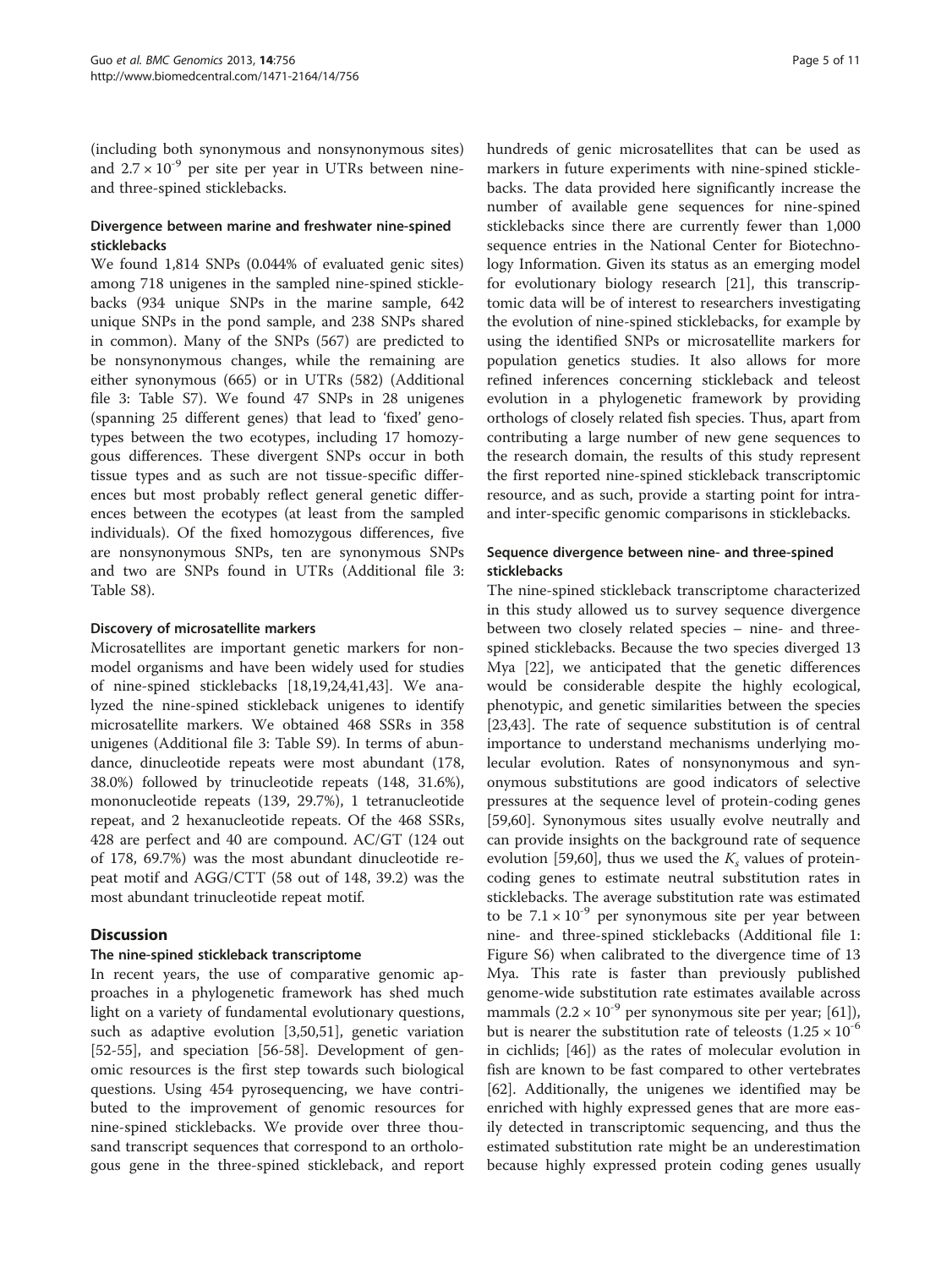(including both synonymous and nonsynonymous sites) and  $2.7 \times 10^{-9}$  per site per year in UTRs between nineand three-spined sticklebacks.

#### Divergence between marine and freshwater nine-spined sticklebacks

We found 1,814 SNPs (0.044% of evaluated genic sites) among 718 unigenes in the sampled nine-spined sticklebacks (934 unique SNPs in the marine sample, 642 unique SNPs in the pond sample, and 238 SNPs shared in common). Many of the SNPs (567) are predicted to be nonsynonymous changes, while the remaining are either synonymous (665) or in UTRs (582) (Additional file [3](#page-8-0): Table S7). We found 47 SNPs in 28 unigenes (spanning 25 different genes) that lead to 'fixed' genotypes between the two ecotypes, including 17 homozygous differences. These divergent SNPs occur in both tissue types and as such are not tissue-specific differences but most probably reflect general genetic differences between the ecotypes (at least from the sampled individuals). Of the fixed homozygous differences, five are nonsynonymous SNPs, ten are synonymous SNPs and two are SNPs found in UTRs (Additional file [3](#page-8-0): Table S8).

#### Discovery of microsatellite markers

Microsatellites are important genetic markers for nonmodel organisms and have been widely used for studies of nine-spined sticklebacks [\[18,19,24,41,43\]](#page-9-0). We analyzed the nine-spined stickleback unigenes to identify microsatellite markers. We obtained 468 SSRs in 358 unigenes (Additional file [3:](#page-8-0) Table S9). In terms of abundance, dinucleotide repeats were most abundant (178, 38.0%) followed by trinucleotide repeats (148, 31.6%), mononucleotide repeats (139, 29.7%), 1 tetranucleotide repeat, and 2 hexanucleotide repeats. Of the 468 SSRs, 428 are perfect and 40 are compound. AC/GT (124 out of 178, 69.7%) was the most abundant dinucleotide repeat motif and AGG/CTT (58 out of 148, 39.2) was the most abundant trinucleotide repeat motif.

# **Discussion**

#### The nine-spined stickleback transcriptome

In recent years, the use of comparative genomic approaches in a phylogenetic framework has shed much light on a variety of fundamental evolutionary questions, such as adaptive evolution [[3](#page-8-0),[50](#page-9-0),[51](#page-9-0)], genetic variation [[52-55](#page-9-0)], and speciation [[56](#page-9-0)-[58\]](#page-9-0). Development of genomic resources is the first step towards such biological questions. Using 454 pyrosequencing, we have contributed to the improvement of genomic resources for nine-spined sticklebacks. We provide over three thousand transcript sequences that correspond to an orthologous gene in the three-spined stickleback, and report hundreds of genic microsatellites that can be used as markers in future experiments with nine-spined sticklebacks. The data provided here significantly increase the number of available gene sequences for nine-spined sticklebacks since there are currently fewer than 1,000 sequence entries in the National Center for Biotechnology Information. Given its status as an emerging model for evolutionary biology research [\[21\]](#page-9-0), this transcriptomic data will be of interest to researchers investigating the evolution of nine-spined sticklebacks, for example by using the identified SNPs or microsatellite markers for population genetics studies. It also allows for more refined inferences concerning stickleback and teleost evolution in a phylogenetic framework by providing orthologs of closely related fish species. Thus, apart from contributing a large number of new gene sequences to the research domain, the results of this study represent the first reported nine-spined stickleback transcriptomic resource, and as such, provide a starting point for intraand inter-specific genomic comparisons in sticklebacks.

### Sequence divergence between nine- and three-spined sticklebacks

The nine-spined stickleback transcriptome characterized in this study allowed us to survey sequence divergence between two closely related species – nine- and threespined sticklebacks. Because the two species diverged 13 Mya [\[22](#page-9-0)], we anticipated that the genetic differences would be considerable despite the highly ecological, phenotypic, and genetic similarities between the species [[23,43\]](#page-9-0). The rate of sequence substitution is of central importance to understand mechanisms underlying molecular evolution. Rates of nonsynonymous and synonymous substitutions are good indicators of selective pressures at the sequence level of protein-coding genes [[59,60\]](#page-9-0). Synonymous sites usually evolve neutrally and can provide insights on the background rate of sequence evolution [\[59,60](#page-9-0)], thus we used the  $K_s$  values of proteincoding genes to estimate neutral substitution rates in sticklebacks. The average substitution rate was estimated to be  $7.1 \times 10^{-9}$  per synonymous site per year between nine- and three-spined sticklebacks (Additional file [1](#page-8-0): Figure S6) when calibrated to the divergence time of 13 Mya. This rate is faster than previously published genome-wide substitution rate estimates available across mammals  $(2.2 \times 10^{-9}$  per synonymous site per year; [\[61](#page-9-0)]), but is nearer the substitution rate of teleosts  $(1.25 \times 10^{-6})$ in cichlids; [\[46](#page-9-0)]) as the rates of molecular evolution in fish are known to be fast compared to other vertebrates [[62\]](#page-9-0). Additionally, the unigenes we identified may be enriched with highly expressed genes that are more easily detected in transcriptomic sequencing, and thus the estimated substitution rate might be an underestimation because highly expressed protein coding genes usually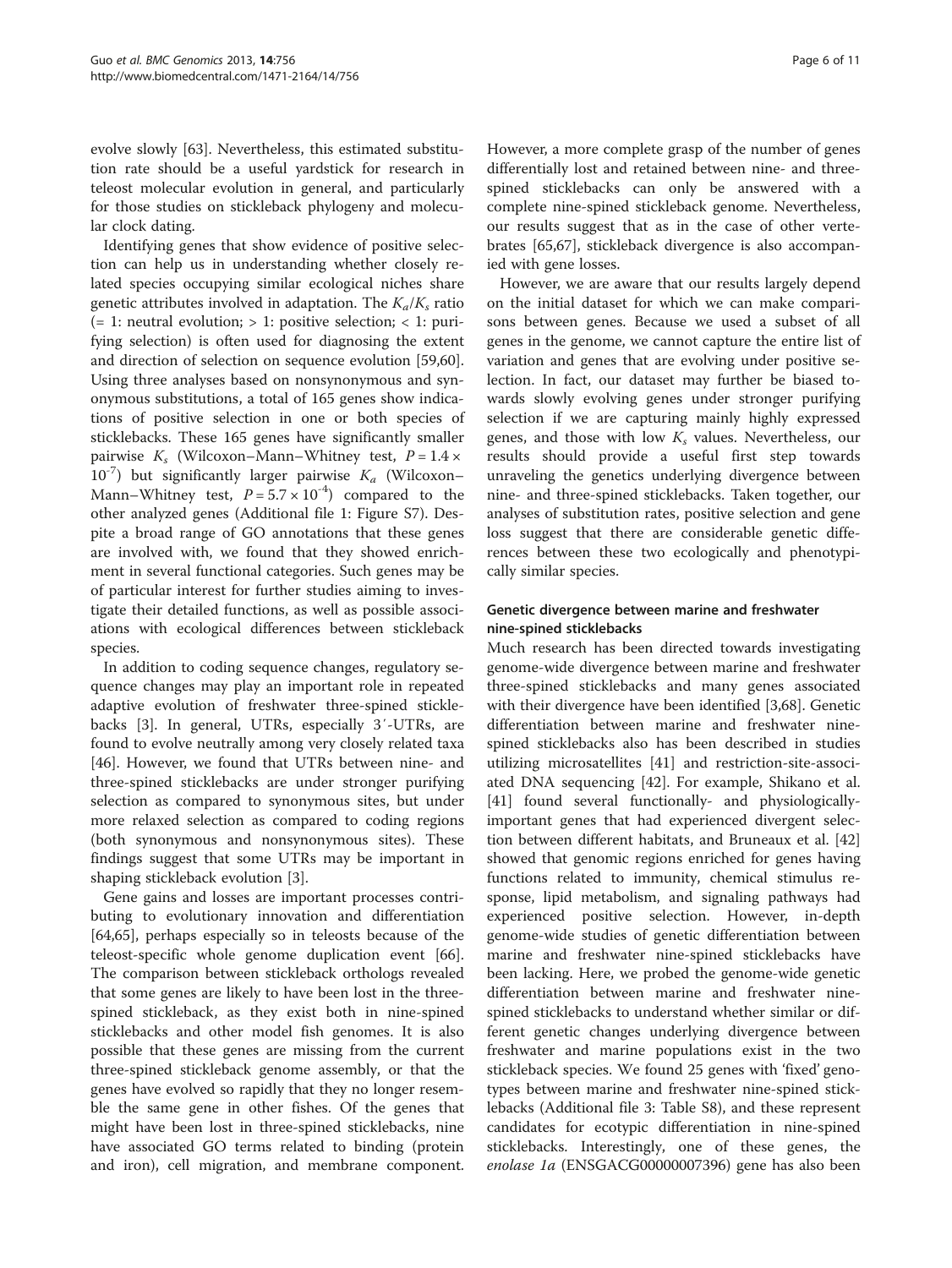evolve slowly [[63](#page-10-0)]. Nevertheless, this estimated substitution rate should be a useful yardstick for research in teleost molecular evolution in general, and particularly for those studies on stickleback phylogeny and molecular clock dating.

Identifying genes that show evidence of positive selection can help us in understanding whether closely related species occupying similar ecological niches share genetic attributes involved in adaptation. The  $K_a/K_s$  ratio  $(= 1:$  neutral evolution; > 1: positive selection; < 1: purifying selection) is often used for diagnosing the extent and direction of selection on sequence evolution [\[59,60](#page-9-0)]. Using three analyses based on nonsynonymous and synonymous substitutions, a total of 165 genes show indications of positive selection in one or both species of sticklebacks. These 165 genes have significantly smaller pairwise  $K_s$  (Wilcoxon–Mann–Whitney test,  $P = 1.4 \times$  $10^{-7}$ ) but significantly larger pairwise  $K_a$  (Wilcoxon– Mann–Whitney test,  $P = 5.7 \times 10^{-4}$  compared to the other analyzed genes (Additional file [1:](#page-8-0) Figure S7). Despite a broad range of GO annotations that these genes are involved with, we found that they showed enrichment in several functional categories. Such genes may be of particular interest for further studies aiming to investigate their detailed functions, as well as possible associations with ecological differences between stickleback species.

In addition to coding sequence changes, regulatory sequence changes may play an important role in repeated adaptive evolution of freshwater three-spined sticklebacks [\[3](#page-8-0)]. In general, UTRs, especially 3′-UTRs, are found to evolve neutrally among very closely related taxa [[46\]](#page-9-0). However, we found that UTRs between nine- and three-spined sticklebacks are under stronger purifying selection as compared to synonymous sites, but under more relaxed selection as compared to coding regions (both synonymous and nonsynonymous sites). These findings suggest that some UTRs may be important in shaping stickleback evolution [[3\]](#page-8-0).

Gene gains and losses are important processes contributing to evolutionary innovation and differentiation [[64,65\]](#page-10-0), perhaps especially so in teleosts because of the teleost-specific whole genome duplication event [\[66](#page-10-0)]. The comparison between stickleback orthologs revealed that some genes are likely to have been lost in the threespined stickleback, as they exist both in nine-spined sticklebacks and other model fish genomes. It is also possible that these genes are missing from the current three-spined stickleback genome assembly, or that the genes have evolved so rapidly that they no longer resemble the same gene in other fishes. Of the genes that might have been lost in three-spined sticklebacks, nine have associated GO terms related to binding (protein and iron), cell migration, and membrane component.

However, a more complete grasp of the number of genes differentially lost and retained between nine- and threespined sticklebacks can only be answered with a complete nine-spined stickleback genome. Nevertheless, our results suggest that as in the case of other vertebrates [\[65,67](#page-10-0)], stickleback divergence is also accompanied with gene losses.

However, we are aware that our results largely depend on the initial dataset for which we can make comparisons between genes. Because we used a subset of all genes in the genome, we cannot capture the entire list of variation and genes that are evolving under positive selection. In fact, our dataset may further be biased towards slowly evolving genes under stronger purifying selection if we are capturing mainly highly expressed genes, and those with low  $K_s$  values. Nevertheless, our results should provide a useful first step towards unraveling the genetics underlying divergence between nine- and three-spined sticklebacks. Taken together, our analyses of substitution rates, positive selection and gene loss suggest that there are considerable genetic differences between these two ecologically and phenotypically similar species.

#### Genetic divergence between marine and freshwater nine-spined sticklebacks

Much research has been directed towards investigating genome-wide divergence between marine and freshwater three-spined sticklebacks and many genes associated with their divergence have been identified [[3,](#page-8-0)[68\]](#page-10-0). Genetic differentiation between marine and freshwater ninespined sticklebacks also has been described in studies utilizing microsatellites [[41\]](#page-9-0) and restriction-site-associated DNA sequencing [\[42](#page-9-0)]. For example, Shikano et al. [[41\]](#page-9-0) found several functionally- and physiologicallyimportant genes that had experienced divergent selection between different habitats, and Bruneaux et al. [[42](#page-9-0)] showed that genomic regions enriched for genes having functions related to immunity, chemical stimulus response, lipid metabolism, and signaling pathways had experienced positive selection. However, in-depth genome-wide studies of genetic differentiation between marine and freshwater nine-spined sticklebacks have been lacking. Here, we probed the genome-wide genetic differentiation between marine and freshwater ninespined sticklebacks to understand whether similar or different genetic changes underlying divergence between freshwater and marine populations exist in the two stickleback species. We found 25 genes with 'fixed' genotypes between marine and freshwater nine-spined sticklebacks (Additional file [3](#page-8-0): Table S8), and these represent candidates for ecotypic differentiation in nine-spined sticklebacks. Interestingly, one of these genes, the enolase 1a (ENSGACG00000007396) gene has also been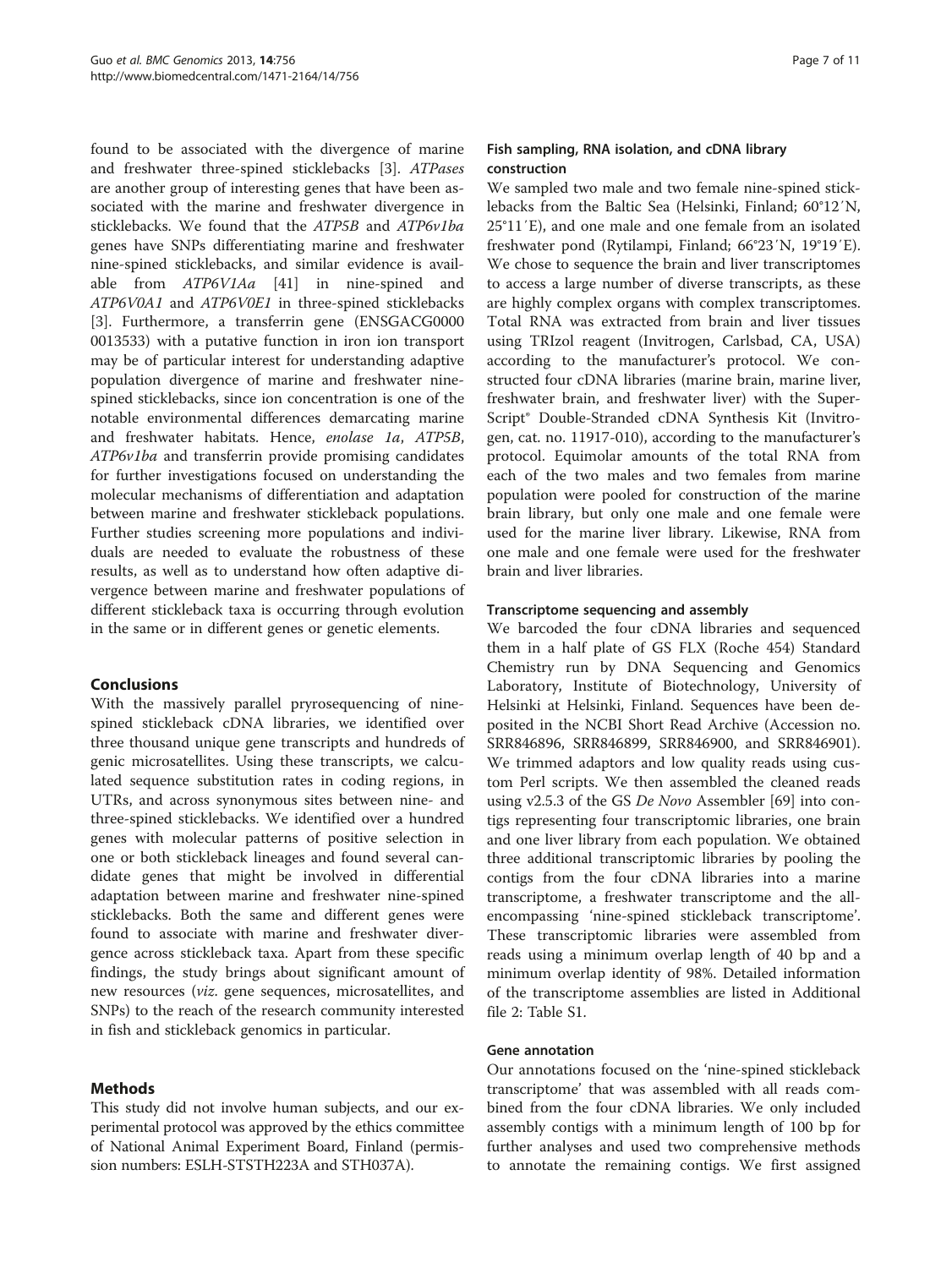found to be associated with the divergence of marine and freshwater three-spined sticklebacks [[3](#page-8-0)]. ATPases are another group of interesting genes that have been associated with the marine and freshwater divergence in sticklebacks. We found that the ATP5B and ATP6v1ba genes have SNPs differentiating marine and freshwater nine-spined sticklebacks, and similar evidence is avail-able from ATP6V1Aa [\[41\]](#page-9-0) in nine-spined and ATP6V0A1 and ATP6V0E1 in three-spined sticklebacks [[3\]](#page-8-0). Furthermore, a transferrin gene (ENSGACG0000 0013533) with a putative function in iron ion transport may be of particular interest for understanding adaptive population divergence of marine and freshwater ninespined sticklebacks, since ion concentration is one of the notable environmental differences demarcating marine and freshwater habitats. Hence, enolase 1a, ATP5B, ATP6v1ba and transferrin provide promising candidates for further investigations focused on understanding the molecular mechanisms of differentiation and adaptation between marine and freshwater stickleback populations. Further studies screening more populations and individuals are needed to evaluate the robustness of these results, as well as to understand how often adaptive divergence between marine and freshwater populations of different stickleback taxa is occurring through evolution in the same or in different genes or genetic elements.

# Conclusions

With the massively parallel pryrosequencing of ninespined stickleback cDNA libraries, we identified over three thousand unique gene transcripts and hundreds of genic microsatellites. Using these transcripts, we calculated sequence substitution rates in coding regions, in UTRs, and across synonymous sites between nine- and three-spined sticklebacks. We identified over a hundred genes with molecular patterns of positive selection in one or both stickleback lineages and found several candidate genes that might be involved in differential adaptation between marine and freshwater nine-spined sticklebacks. Both the same and different genes were found to associate with marine and freshwater divergence across stickleback taxa. Apart from these specific findings, the study brings about significant amount of new resources (viz. gene sequences, microsatellites, and SNPs) to the reach of the research community interested in fish and stickleback genomics in particular.

#### Methods

This study did not involve human subjects, and our experimental protocol was approved by the ethics committee of National Animal Experiment Board, Finland (permission numbers: ESLH-STSTH223A and STH037A).

#### Fish sampling, RNA isolation, and cDNA library construction

We sampled two male and two female nine-spined sticklebacks from the Baltic Sea (Helsinki, Finland; 60°12′N, 25°11′E), and one male and one female from an isolated freshwater pond (Rytilampi, Finland; 66°23′N, 19°19′E). We chose to sequence the brain and liver transcriptomes to access a large number of diverse transcripts, as these are highly complex organs with complex transcriptomes. Total RNA was extracted from brain and liver tissues using TRIzol reagent (Invitrogen, Carlsbad, CA, USA) according to the manufacturer's protocol. We constructed four cDNA libraries (marine brain, marine liver, freshwater brain, and freshwater liver) with the Super-Script® Double-Stranded cDNA Synthesis Kit (Invitrogen, cat. no. 11917-010), according to the manufacturer's protocol. Equimolar amounts of the total RNA from each of the two males and two females from marine population were pooled for construction of the marine brain library, but only one male and one female were used for the marine liver library. Likewise, RNA from one male and one female were used for the freshwater brain and liver libraries.

#### Transcriptome sequencing and assembly

We barcoded the four cDNA libraries and sequenced them in a half plate of GS FLX (Roche 454) Standard Chemistry run by DNA Sequencing and Genomics Laboratory, Institute of Biotechnology, University of Helsinki at Helsinki, Finland. Sequences have been deposited in the NCBI Short Read Archive (Accession no. SRR846896, SRR846899, SRR846900, and SRR846901). We trimmed adaptors and low quality reads using custom Perl scripts. We then assembled the cleaned reads using v2.5.3 of the GS De Novo Assembler [[69\]](#page-10-0) into contigs representing four transcriptomic libraries, one brain and one liver library from each population. We obtained three additional transcriptomic libraries by pooling the contigs from the four cDNA libraries into a marine transcriptome, a freshwater transcriptome and the allencompassing 'nine-spined stickleback transcriptome'. These transcriptomic libraries were assembled from reads using a minimum overlap length of 40 bp and a minimum overlap identity of 98%. Detailed information of the transcriptome assemblies are listed in Additional file [2:](#page-8-0) Table S1.

#### Gene annotation

Our annotations focused on the 'nine-spined stickleback transcriptome' that was assembled with all reads combined from the four cDNA libraries. We only included assembly contigs with a minimum length of 100 bp for further analyses and used two comprehensive methods to annotate the remaining contigs. We first assigned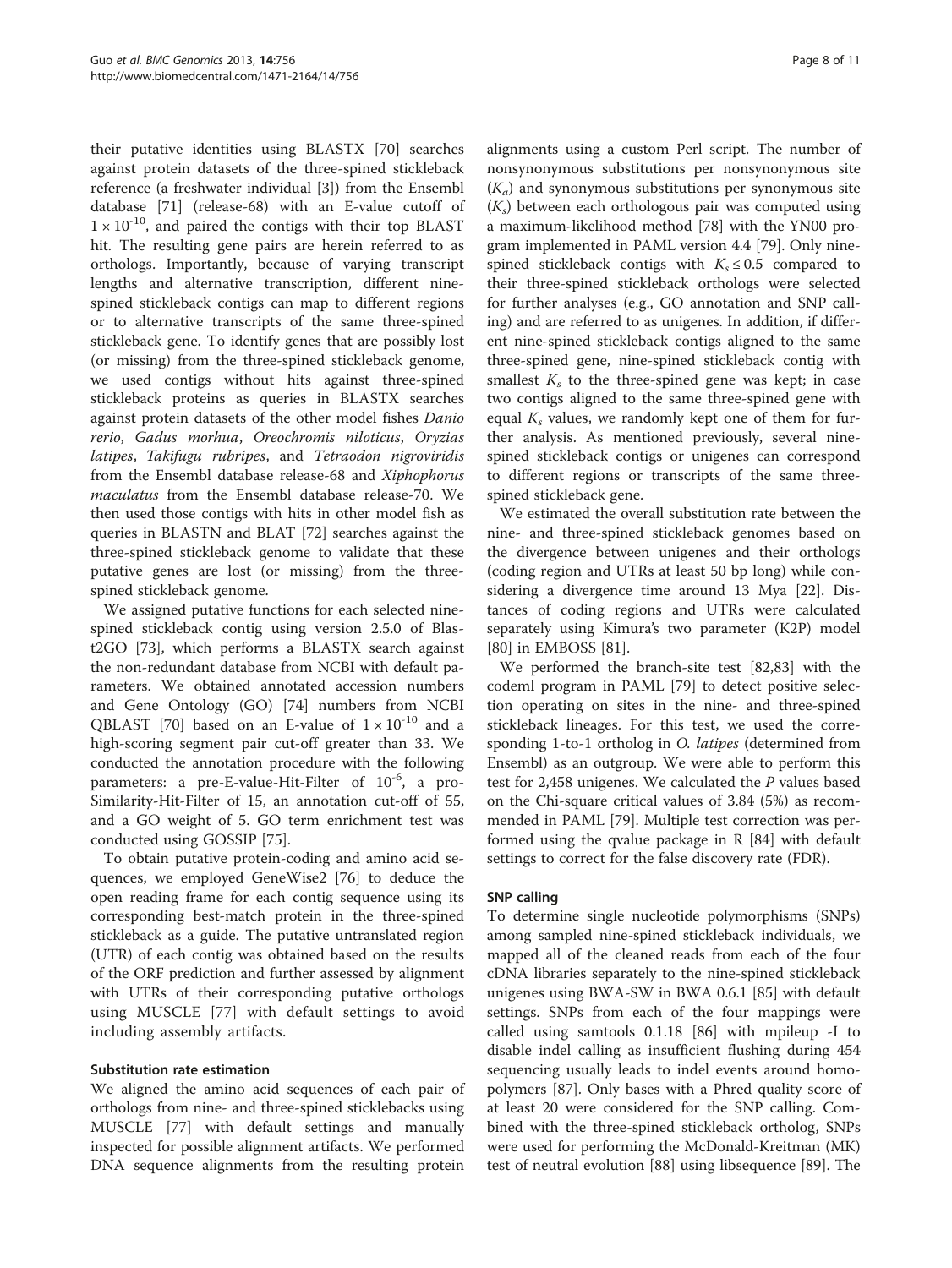their putative identities using BLASTX [\[70](#page-10-0)] searches against protein datasets of the three-spined stickleback reference (a freshwater individual [\[3](#page-8-0)]) from the Ensembl database [\[71](#page-10-0)] (release-68) with an E-value cutoff of  $1 \times 10^{-10}$ , and paired the contigs with their top BLAST hit. The resulting gene pairs are herein referred to as orthologs. Importantly, because of varying transcript lengths and alternative transcription, different ninespined stickleback contigs can map to different regions or to alternative transcripts of the same three-spined stickleback gene. To identify genes that are possibly lost (or missing) from the three-spined stickleback genome, we used contigs without hits against three-spined stickleback proteins as queries in BLASTX searches against protein datasets of the other model fishes Danio rerio, Gadus morhua, Oreochromis niloticus, Oryzias latipes, Takifugu rubripes, and Tetraodon nigroviridis from the Ensembl database release-68 and Xiphophorus maculatus from the Ensembl database release-70. We then used those contigs with hits in other model fish as queries in BLASTN and BLAT [[72\]](#page-10-0) searches against the three-spined stickleback genome to validate that these putative genes are lost (or missing) from the threespined stickleback genome.

We assigned putative functions for each selected ninespined stickleback contig using version 2.5.0 of Blast2GO [[73\]](#page-10-0), which performs a BLASTX search against the non-redundant database from NCBI with default parameters. We obtained annotated accession numbers and Gene Ontology (GO) [\[74\]](#page-10-0) numbers from NCBI QBLAST [[70\]](#page-10-0) based on an E-value of  $1 \times 10^{-10}$  and a high-scoring segment pair cut-off greater than 33. We conducted the annotation procedure with the following parameters: a pre-E-value-Hit-Filter of  $10^{-6}$ , a pro-Similarity-Hit-Filter of 15, an annotation cut-off of 55, and a GO weight of 5. GO term enrichment test was conducted using GOSSIP [[75\]](#page-10-0).

To obtain putative protein-coding and amino acid sequences, we employed GeneWise2 [[76](#page-10-0)] to deduce the open reading frame for each contig sequence using its corresponding best-match protein in the three-spined stickleback as a guide. The putative untranslated region (UTR) of each contig was obtained based on the results of the ORF prediction and further assessed by alignment with UTRs of their corresponding putative orthologs using MUSCLE [[77](#page-10-0)] with default settings to avoid including assembly artifacts.

#### Substitution rate estimation

We aligned the amino acid sequences of each pair of orthologs from nine- and three-spined sticklebacks using MUSCLE [\[77\]](#page-10-0) with default settings and manually inspected for possible alignment artifacts. We performed DNA sequence alignments from the resulting protein alignments using a custom Perl script. The number of nonsynonymous substitutions per nonsynonymous site  $(K_a)$  and synonymous substitutions per synonymous site  $(K<sub>s</sub>)$  between each orthologous pair was computed using a maximum-likelihood method [[78\]](#page-10-0) with the YN00 program implemented in PAML version 4.4 [\[79\]](#page-10-0). Only ninespined stickleback contigs with  $K_s \leq 0.5$  compared to their three-spined stickleback orthologs were selected for further analyses (e.g., GO annotation and SNP calling) and are referred to as unigenes. In addition, if different nine-spined stickleback contigs aligned to the same three-spined gene, nine-spined stickleback contig with smallest  $K<sub>s</sub>$  to the three-spined gene was kept; in case two contigs aligned to the same three-spined gene with equal  $K_s$  values, we randomly kept one of them for further analysis. As mentioned previously, several ninespined stickleback contigs or unigenes can correspond to different regions or transcripts of the same threespined stickleback gene.

We estimated the overall substitution rate between the nine- and three-spined stickleback genomes based on the divergence between unigenes and their orthologs (coding region and UTRs at least 50 bp long) while considering a divergence time around 13 Mya [[22\]](#page-9-0). Distances of coding regions and UTRs were calculated separately using Kimura's two parameter (K2P) model [[80\]](#page-10-0) in EMBOSS [\[81](#page-10-0)].

We performed the branch-site test [\[82,83](#page-10-0)] with the codeml program in PAML [[79\]](#page-10-0) to detect positive selection operating on sites in the nine- and three-spined stickleback lineages. For this test, we used the corresponding 1-to-1 ortholog in O. latipes (determined from Ensembl) as an outgroup. We were able to perform this test for 2,458 unigenes. We calculated the P values based on the Chi-square critical values of 3.84 (5%) as recommended in PAML [[79\]](#page-10-0). Multiple test correction was performed using the qvalue package in R [\[84\]](#page-10-0) with default settings to correct for the false discovery rate (FDR).

#### SNP calling

To determine single nucleotide polymorphisms (SNPs) among sampled nine-spined stickleback individuals, we mapped all of the cleaned reads from each of the four cDNA libraries separately to the nine-spined stickleback unigenes using BWA-SW in BWA 0.6.1 [[85\]](#page-10-0) with default settings. SNPs from each of the four mappings were called using samtools 0.1.18 [\[86\]](#page-10-0) with mpileup -I to disable indel calling as insufficient flushing during 454 sequencing usually leads to indel events around homopolymers [[87\]](#page-10-0). Only bases with a Phred quality score of at least 20 were considered for the SNP calling. Combined with the three-spined stickleback ortholog, SNPs were used for performing the McDonald-Kreitman (MK) test of neutral evolution [[88\]](#page-10-0) using libsequence [\[89](#page-10-0)]. The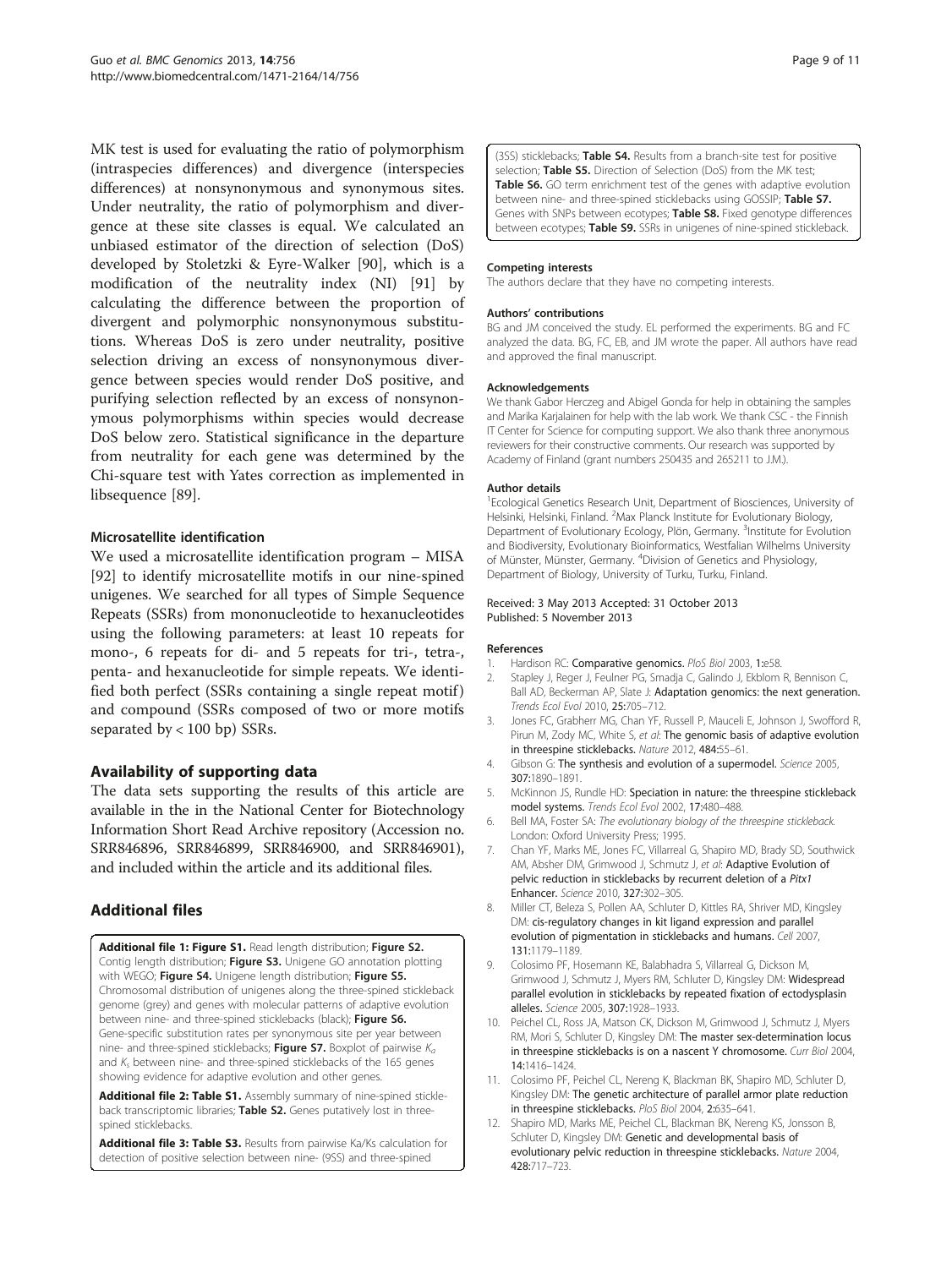<span id="page-8-0"></span>MK test is used for evaluating the ratio of polymorphism (intraspecies differences) and divergence (interspecies differences) at nonsynonymous and synonymous sites. Under neutrality, the ratio of polymorphism and divergence at these site classes is equal. We calculated an unbiased estimator of the direction of selection (DoS) developed by Stoletzki & Eyre-Walker [[90\]](#page-10-0), which is a modification of the neutrality index (NI) [[91\]](#page-10-0) by calculating the difference between the proportion of divergent and polymorphic nonsynonymous substitutions. Whereas DoS is zero under neutrality, positive selection driving an excess of nonsynonymous divergence between species would render DoS positive, and purifying selection reflected by an excess of nonsynonymous polymorphisms within species would decrease DoS below zero. Statistical significance in the departure from neutrality for each gene was determined by the Chi-square test with Yates correction as implemented in libsequence [\[89](#page-10-0)].

#### Microsatellite identification

We used a microsatellite identification program – MISA [[92\]](#page-10-0) to identify microsatellite motifs in our nine-spined unigenes. We searched for all types of Simple Sequence Repeats (SSRs) from mononucleotide to hexanucleotides using the following parameters: at least 10 repeats for mono-, 6 repeats for di- and 5 repeats for tri-, tetra-, penta- and hexanucleotide for simple repeats. We identified both perfect (SSRs containing a single repeat motif) and compound (SSRs composed of two or more motifs separated by  $< 100$  bp) SSRs.

#### Availability of supporting data

The data sets supporting the results of this article are available in the in the National Center for Biotechnology Information Short Read Archive repository (Accession no. SRR846896, SRR846899, SRR846900, and SRR846901), and included within the article and its additional files.

# Additional files

[Additional file 1: Figure S1.](http://www.biomedcentral.com/content/supplementary/1471-2164-14-756-S1.docx) Read length distribution; Figure S2. Contig length distribution; Figure S3. Unigene GO annotation plotting with WEGO; Figure S4. Unigene length distribution; Figure S5. Chromosomal distribution of unigenes along the three-spined stickleback genome (grey) and genes with molecular patterns of adaptive evolution between nine- and three-spined sticklebacks (black); Figure S6. Gene-specific substitution rates per synonymous site per year between nine- and three-spined sticklebacks; Figure S7. Boxplot of pairwise  $K_a$ and  $K_s$  between nine- and three-spined sticklebacks of the 165 genes showing evidence for adaptive evolution and other genes.

[Additional file 2: Table S1.](http://www.biomedcentral.com/content/supplementary/1471-2164-14-756-S2.docx) Assembly summary of nine-spined stickleback transcriptomic libraries; Table S2. Genes putatively lost in threespined sticklebacks.

[Additional file 3: Table S3.](http://www.biomedcentral.com/content/supplementary/1471-2164-14-756-S3.xlsx) Results from pairwise Ka/Ks calculation for detection of positive selection between nine- (9SS) and three-spined

(3SS) sticklebacks; Table S4. Results from a branch-site test for positive selection; Table S5. Direction of Selection (DoS) from the MK test; Table S6. GO term enrichment test of the genes with adaptive evolution between nine- and three-spined sticklebacks using GOSSIP; Table S7. Genes with SNPs between ecotypes; Table S8. Fixed genotype differences between ecotypes; Table S9. SSRs in unigenes of nine-spined stickleback.

#### Competing interests

The authors declare that they have no competing interests.

#### Authors' contributions

BG and JM conceived the study. EL performed the experiments. BG and FC analyzed the data. BG, FC, EB, and JM wrote the paper. All authors have read and approved the final manuscript.

#### Acknowledgements

We thank Gabor Herczeg and Abigel Gonda for help in obtaining the samples and Marika Karjalainen for help with the lab work. We thank CSC - the Finnish IT Center for Science for computing support. We also thank three anonymous reviewers for their constructive comments. Our research was supported by Academy of Finland (grant numbers 250435 and 265211 to J.M.).

#### Author details

1 Ecological Genetics Research Unit, Department of Biosciences, University of Helsinki, Helsinki, Finland. <sup>2</sup>Max Planck Institute for Evolutionary Biology Department of Evolutionary Ecology, Plön, Germany. <sup>3</sup>Institute for Evolution and Biodiversity, Evolutionary Bioinformatics, Westfalian Wilhelms University of Münster, Münster, Germany. <sup>4</sup>Division of Genetics and Physiology, Department of Biology, University of Turku, Turku, Finland.

#### Received: 3 May 2013 Accepted: 31 October 2013 Published: 5 November 2013

#### References

- 1. Hardison RC: Comparative genomics. PloS Biol 2003, 1:e58.
- 2. Stapley J, Reger J, Feulner PG, Smadja C, Galindo J, Ekblom R, Bennison C, Ball AD, Beckerman AP, Slate J: Adaptation genomics: the next generation. Trends Ecol Evol 2010, 25:705–712.
- 3. Jones FC, Grabherr MG, Chan YF, Russell P, Mauceli E, Johnson J, Swofford R, Pirun M, Zody MC, White S, et al: The genomic basis of adaptive evolution in threespine sticklebacks. Nature 2012, 484:55–61.
- 4. Gibson G: The synthesis and evolution of a supermodel. Science 2005, 307:1890–1891.
- 5. McKinnon JS, Rundle HD: Speciation in nature: the threespine stickleback model systems. Trends Ecol Evol 2002, 17:480–488.
- 6. Bell MA, Foster SA: The evolutionary biology of the threespine stickleback. London: Oxford University Press; 1995.
- 7. Chan YF, Marks ME, Jones FC, Villarreal G, Shapiro MD, Brady SD, Southwick AM, Absher DM, Grimwood J, Schmutz J, et al: Adaptive Evolution of pelvic reduction in sticklebacks by recurrent deletion of a Pitx1 Enhancer. Science 2010, 327:302–305.
- 8. Miller CT, Beleza S, Pollen AA, Schluter D, Kittles RA, Shriver MD, Kingsley DM: cis-regulatory changes in kit ligand expression and parallel evolution of pigmentation in sticklebacks and humans. Cell 2007, 131:1179–1189.
- 9. Colosimo PF, Hosemann KE, Balabhadra S, Villarreal G, Dickson M, Grimwood J, Schmutz J, Myers RM, Schluter D, Kingsley DM: Widespread parallel evolution in sticklebacks by repeated fixation of ectodysplasin alleles. Science 2005, 307:1928–1933.
- 10. Peichel CL, Ross JA, Matson CK, Dickson M, Grimwood J, Schmutz J, Myers RM, Mori S, Schluter D, Kingsley DM: The master sex-determination locus in threespine sticklebacks is on a nascent Y chromosome. Curr Biol 2004, 14:1416–1424.
- 11. Colosimo PF, Peichel CL, Nereng K, Blackman BK, Shapiro MD, Schluter D, Kingsley DM: The genetic architecture of parallel armor plate reduction in threespine sticklebacks. PloS Biol 2004, 2:635–641.
- Shapiro MD, Marks ME, Peichel CL, Blackman BK, Nereng KS, Jonsson B, Schluter D, Kingsley DM: Genetic and developmental basis of evolutionary pelvic reduction in threespine sticklebacks. Nature 2004, 428:717–723.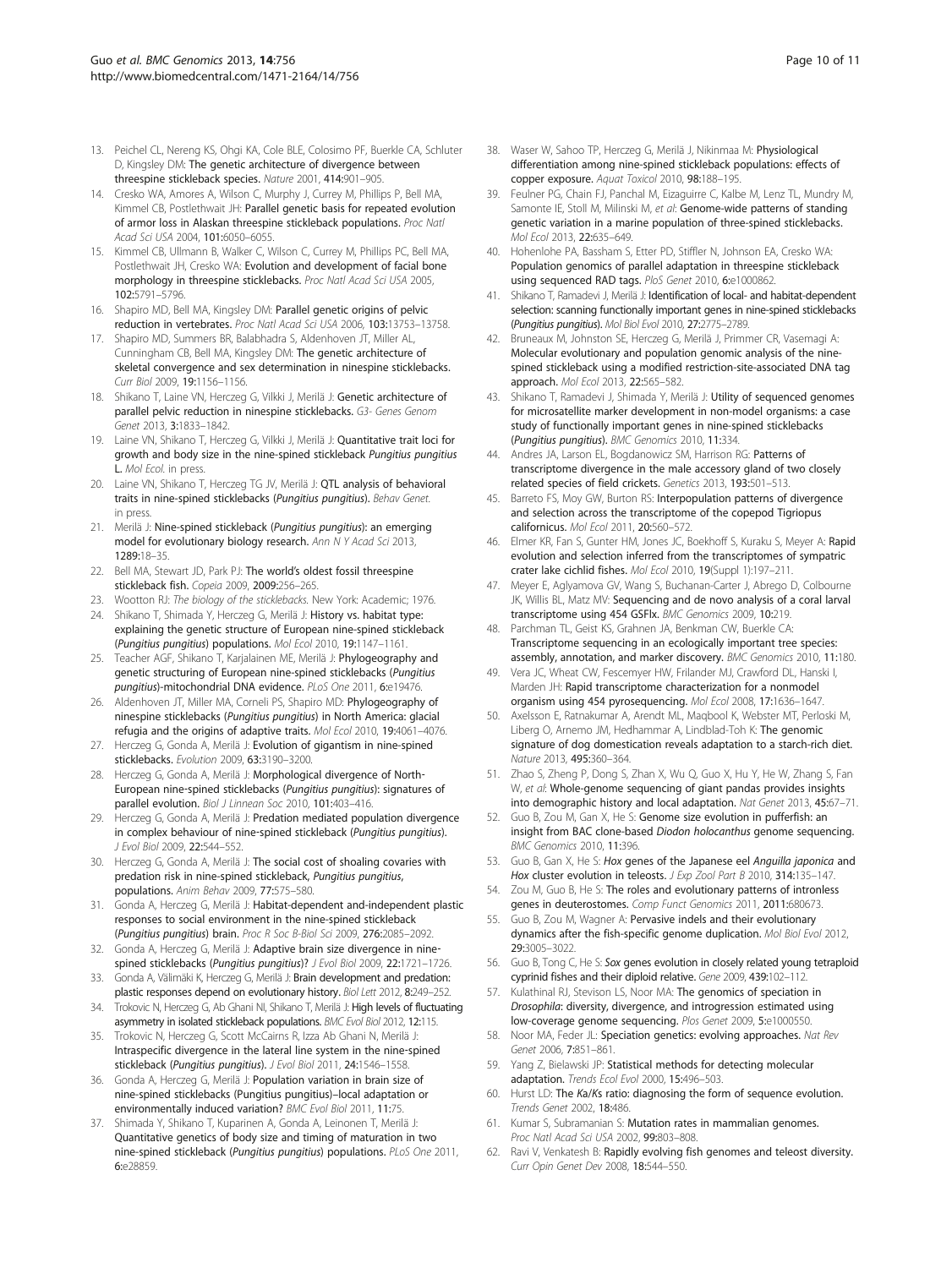- <span id="page-9-0"></span>13. Peichel CL, Nereng KS, Ohgi KA, Cole BLE, Colosimo PF, Buerkle CA, Schluter D, Kingsley DM: The genetic architecture of divergence between threespine stickleback species. Nature 2001, 414:901–905.
- 14. Cresko WA, Amores A, Wilson C, Murphy J, Currey M, Phillips P, Bell MA, Kimmel CB, Postlethwait JH: Parallel genetic basis for repeated evolution of armor loss in Alaskan threespine stickleback populations. Proc Natl Acad Sci USA 2004, 101:6050–6055.
- 15. Kimmel CB, Ullmann B, Walker C, Wilson C, Currey M, Phillips PC, Bell MA, Postlethwait JH, Cresko WA: Evolution and development of facial bone morphology in threespine sticklebacks. Proc Natl Acad Sci USA 2005, 102:5791–5796.
- 16. Shapiro MD, Bell MA, Kingsley DM: Parallel genetic origins of pelvic reduction in vertebrates. Proc Natl Acad Sci USA 2006, 103:13753–13758.
- 17. Shapiro MD, Summers BR, Balabhadra S, Aldenhoven JT, Miller AL, Cunningham CB, Bell MA, Kingsley DM: The genetic architecture of skeletal convergence and sex determination in ninespine sticklebacks. Curr Biol 2009, 19:1156–1156.
- 18. Shikano T, Laine VN, Herczeg G, Vilkki J, Merilä J: Genetic architecture of parallel pelvic reduction in ninespine sticklebacks. G3- Genes Genom Genet 2013, 3:1833–1842.
- 19. Laine VN, Shikano T, Herczeg G, Vilkki J, Merilä J: Quantitative trait loci for growth and body size in the nine-spined stickleback Pungitius pungitius L. Mol Ecol. in press.
- 20. Laine VN, Shikano T, Herczeg TG JV, Merilä J: QTL analysis of behavioral traits in nine-spined sticklebacks (Pungitius pungitius). Behav Genet. in press.
- 21. Merilä J: Nine-spined stickleback (Pungitius pungitius): an emerging model for evolutionary biology research. Ann N Y Acad Sci 2013, 1289:18–35.
- 22. Bell MA, Stewart JD, Park PJ: The world's oldest fossil threespine stickleback fish. Copeia 2009, 2009:256–265.
- 23. Wootton RJ: The biology of the sticklebacks. New York: Academic; 1976. 24. Shikano T, Shimada Y, Herczeg G, Merilä J: History vs. habitat type: explaining the genetic structure of European nine-spined stickleback
- (Pungitius pungitius) populations. Mol Ecol 2010, 19:1147–1161. 25. Teacher AGF, Shikano T, Karjalainen ME, Merilä J: Phylogeography and
- genetic structuring of European nine-spined sticklebacks (Pungitius pungitius)-mitochondrial DNA evidence. PLoS One 2011, 6:e19476.
- 26. Aldenhoven JT, Miller MA, Corneli PS, Shapiro MD: Phylogeography of ninespine sticklebacks (Pungitius pungitius) in North America: glacial refugia and the origins of adaptive traits. Mol Ecol 2010, 19:4061–4076.
- 27. Herczeg G, Gonda A, Merilä J: Evolution of gigantism in nine-spined sticklebacks. Evolution 2009, 63:3190–3200.
- 28. Herczeg G, Gonda A, Merilä J: Morphological divergence of North-European nine‐spined sticklebacks (Pungitius pungitius): signatures of parallel evolution. Biol J Linnean Soc 2010, 101:403-416.
- 29. Herczeg G, Gonda A, Merilä J: Predation mediated population divergence in complex behaviour of nine-spined stickleback (Pungitius pungitius). J Evol Biol 2009, 22:544–552.
- 30. Herczeg G, Gonda A, Merilä J: The social cost of shoaling covaries with predation risk in nine-spined stickleback, Pungitius pungitius, populations. Anim Behav 2009, 77:575–580.
- 31. Gonda A, Herczeg G, Merilä J: Habitat-dependent and-independent plastic responses to social environment in the nine-spined stickleback (Pungitius pungitius) brain. Proc R Soc B-Biol Sci 2009, 276:2085–2092.
- 32. Gonda A, Herczeg G, Merilä J: Adaptive brain size divergence in ninespined sticklebacks (Pungitius pungitius)? J Evol Biol 2009, 22:1721-1726.
- 33. Gonda A, Välimäki K, Herczeg G, Merilä J: Brain development and predation: plastic responses depend on evolutionary history. Biol Lett 2012, 8:249–252.
- 34. Trokovic N, Herczeg G, Ab Ghani NI, Shikano T, Merilä J: High levels of fluctuating asymmetry in isolated stickleback populations. BMC Evol Biol 2012, 12:115.
- 35. Trokovic N, Herczeg G, Scott McCairns R, Izza Ab Ghani N, Merilä J: Intraspecific divergence in the lateral line system in the nine‐spined stickleback (Pungitius pungitius). J Evol Biol 2011, 24:1546-1558.
- 36. Gonda A, Herczeg G, Merilä J: Population variation in brain size of nine-spined sticklebacks (Pungitius pungitius)–local adaptation or environmentally induced variation? BMC Evol Biol 2011, 11:75.
- 37. Shimada Y, Shikano T, Kuparinen A, Gonda A, Leinonen T, Merilä J: Quantitative genetics of body size and timing of maturation in two nine-spined stickleback (Pungitius pungitius) populations. PLoS One 2011, 6:e28859.
- 38. Waser W, Sahoo TP, Herczeg G, Merilä J, Nikinmaa M: Physiological differentiation among nine-spined stickleback populations: effects of copper exposure. Aquat Toxicol 2010, 98:188-195.
- 39. Feulner PG, Chain FJ, Panchal M, Eizaguirre C, Kalbe M, Lenz TL, Mundry M, Samonte IE, Stoll M, Milinski M, et al: Genome-wide patterns of standing genetic variation in a marine population of three-spined sticklebacks. Mol Ecol 2013, 22:635–649.
- 40. Hohenlohe PA, Bassham S, Etter PD, Stiffler N, Johnson EA, Cresko WA: Population genomics of parallel adaptation in threespine stickleback using sequenced RAD tags. PloS Genet 2010, 6:e1000862
- 41. Shikano T, Ramadevi J, Merilä J: Identification of local- and habitat-dependent selection: scanning functionally important genes in nine-spined sticklebacks (Pungitius pungitius). Mol Biol Evol 2010, 27:2775–2789.
- 42. Bruneaux M, Johnston SE, Herczeg G, Merilä J, Primmer CR, Vasemagi A: Molecular evolutionary and population genomic analysis of the ninespined stickleback using a modified restriction-site-associated DNA tag approach. Mol Ecol 2013, 22:565–582.
- Shikano T, Ramadevi J, Shimada Y, Merilä J: Utility of sequenced genomes for microsatellite marker development in non-model organisms: a case study of functionally important genes in nine-spined sticklebacks (Pungitius pungitius). BMC Genomics 2010, 11:334.
- 44. Andres JA, Larson EL, Bogdanowicz SM, Harrison RG: Patterns of transcriptome divergence in the male accessory gland of two closely related species of field crickets. Genetics 2013, 193:501–513.
- 45. Barreto FS, Moy GW, Burton RS: Interpopulation patterns of divergence and selection across the transcriptome of the copepod Tigriopus californicus. Mol Ecol 2011, 20:560–572.
- 46. Elmer KR, Fan S, Gunter HM, Jones JC, Boekhoff S, Kuraku S, Meyer A: Rapid evolution and selection inferred from the transcriptomes of sympatric crater lake cichlid fishes. Mol Ecol 2010, 19(Suppl 1):197–211.
- 47. Meyer E, Aglyamova GV, Wang S, Buchanan-Carter J, Abrego D, Colbourne JK, Willis BL, Matz MV: Sequencing and de novo analysis of a coral larval transcriptome using 454 GSFlx. BMC Genomics 2009, 10:219.
- 48. Parchman TL, Geist KS, Grahnen JA, Benkman CW, Buerkle CA: Transcriptome sequencing in an ecologically important tree species: assembly, annotation, and marker discovery. BMC Genomics 2010, 11:180.
- 49. Vera JC, Wheat CW, Fescemyer HW, Frilander MJ, Crawford DL, Hanski I, Marden JH: Rapid transcriptome characterization for a nonmodel organism using 454 pyrosequencing. Mol Ecol 2008, 17:1636–1647.
- 50. Axelsson E, Ratnakumar A, Arendt ML, Maqbool K, Webster MT, Perloski M, Liberg O, Arnemo JM, Hedhammar A, Lindblad-Toh K: The genomic signature of dog domestication reveals adaptation to a starch-rich diet. Nature 2013, 495:360–364.
- 51. Zhao S, Zheng P, Dong S, Zhan X, Wu Q, Guo X, Hu Y, He W, Zhang S, Fan W, et al: Whole-genome sequencing of giant pandas provides insights into demographic history and local adaptation. Nat Genet 2013, 45:67–71.
- 52. Guo B, Zou M, Gan X, He S: Genome size evolution in pufferfish: an insight from BAC clone-based Diodon holocanthus genome sequencing. BMC Genomics 2010, 11:396.
- 53. Guo B, Gan X, He S: Hox genes of the Japanese eel Anguilla japonica and Hox cluster evolution in teleosts. J Exp Zool Part B 2010, 314:135-147.
- 54. Zou M, Guo B, He S: The roles and evolutionary patterns of intronless genes in deuterostomes. Comp Funct Genomics 2011, 2011:680673.
- 55. Guo B, Zou M, Wagner A: Pervasive indels and their evolutionary dynamics after the fish-specific genome duplication. Mol Biol Evol 2012, 29:3005–3022.
- 56. Guo B, Tong C, He S: Sox genes evolution in closely related young tetraploid cyprinid fishes and their diploid relative. Gene 2009, 439:102–112.
- 57. Kulathinal RJ, Stevison LS, Noor MA: The genomics of speciation in Drosophila: diversity, divergence, and introgression estimated using low-coverage genome sequencing. Plos Genet 2009, 5:e1000550.
- 58. Noor MA, Feder JL: Speciation genetics: evolving approaches. Nat Rev Genet 2006, 7:851–861.
- 59. Yang Z, Bielawski JP: Statistical methods for detecting molecular adaptation. Trends Ecol Evol 2000, 15:496–503.
- 60. Hurst LD: The Ka/Ks ratio: diagnosing the form of sequence evolution. Trends Genet 2002, 18:486.
- Kumar S, Subramanian S: Mutation rates in mammalian genomes. Proc Natl Acad Sci USA 2002, 99:803–808.
- 62. Ravi V, Venkatesh B: Rapidly evolving fish genomes and teleost diversity. Curr Opin Genet Dev 2008, 18:544–550.